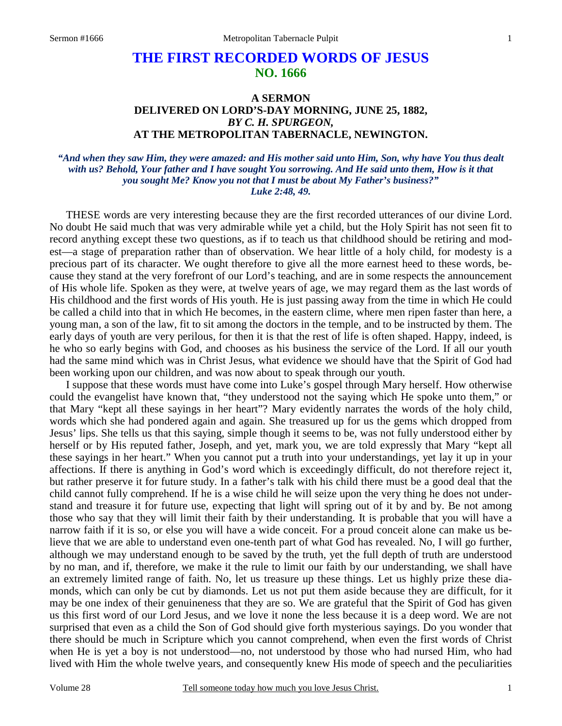# **THE FIRST RECORDED WORDS OF JESUS NO. 1666**

## **A SERMON DELIVERED ON LORD'S-DAY MORNING, JUNE 25, 1882,**  *BY C. H. SPURGEON,*  **AT THE METROPOLITAN TABERNACLE, NEWINGTON.**

#### *"And when they saw Him, they were amazed: and His mother said unto Him, Son, why have You thus dealt with us? Behold, Your father and I have sought You sorrowing. And He said unto them, How is it that you sought Me? Know you not that I must be about My Father's business?" Luke 2:48, 49.*

THESE words are very interesting because they are the first recorded utterances of our divine Lord. No doubt He said much that was very admirable while yet a child, but the Holy Spirit has not seen fit to record anything except these two questions, as if to teach us that childhood should be retiring and modest—a stage of preparation rather than of observation. We hear little of a holy child, for modesty is a precious part of its character. We ought therefore to give all the more earnest heed to these words, because they stand at the very forefront of our Lord's teaching, and are in some respects the announcement of His whole life. Spoken as they were, at twelve years of age, we may regard them as the last words of His childhood and the first words of His youth. He is just passing away from the time in which He could be called a child into that in which He becomes, in the eastern clime, where men ripen faster than here, a young man, a son of the law, fit to sit among the doctors in the temple, and to be instructed by them. The early days of youth are very perilous, for then it is that the rest of life is often shaped. Happy, indeed, is he who so early begins with God, and chooses as his business the service of the Lord. If all our youth had the same mind which was in Christ Jesus, what evidence we should have that the Spirit of God had been working upon our children, and was now about to speak through our youth.

 I suppose that these words must have come into Luke's gospel through Mary herself. How otherwise could the evangelist have known that, "they understood not the saying which He spoke unto them," or that Mary "kept all these sayings in her heart"? Mary evidently narrates the words of the holy child, words which she had pondered again and again. She treasured up for us the gems which dropped from Jesus' lips. She tells us that this saying, simple though it seems to be, was not fully understood either by herself or by His reputed father, Joseph, and yet, mark you, we are told expressly that Mary "kept all these sayings in her heart." When you cannot put a truth into your understandings, yet lay it up in your affections. If there is anything in God's word which is exceedingly difficult, do not therefore reject it, but rather preserve it for future study. In a father's talk with his child there must be a good deal that the child cannot fully comprehend. If he is a wise child he will seize upon the very thing he does not understand and treasure it for future use, expecting that light will spring out of it by and by. Be not among those who say that they will limit their faith by their understanding. It is probable that you will have a narrow faith if it is so, or else you will have a wide conceit. For a proud conceit alone can make us believe that we are able to understand even one-tenth part of what God has revealed. No, I will go further, although we may understand enough to be saved by the truth, yet the full depth of truth are understood by no man, and if, therefore, we make it the rule to limit our faith by our understanding, we shall have an extremely limited range of faith. No, let us treasure up these things. Let us highly prize these diamonds, which can only be cut by diamonds. Let us not put them aside because they are difficult, for it may be one index of their genuineness that they are so. We are grateful that the Spirit of God has given us this first word of our Lord Jesus, and we love it none the less because it is a deep word. We are not surprised that even as a child the Son of God should give forth mysterious sayings. Do you wonder that there should be much in Scripture which you cannot comprehend, when even the first words of Christ when He is yet a boy is not understood—no, not understood by those who had nursed Him, who had lived with Him the whole twelve years, and consequently knew His mode of speech and the peculiarities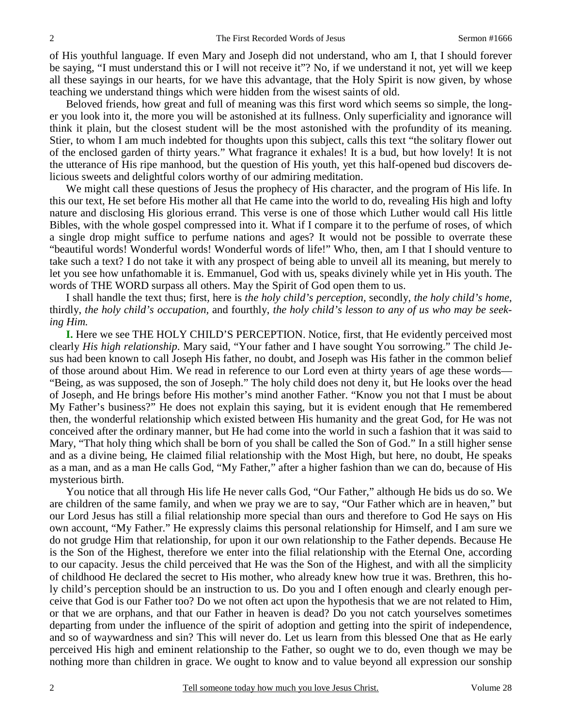of His youthful language. If even Mary and Joseph did not understand, who am I, that I should forever be saying, "I must understand this or I will not receive it"? No, if we understand it not, yet will we keep all these sayings in our hearts, for we have this advantage, that the Holy Spirit is now given, by whose teaching we understand things which were hidden from the wisest saints of old.

 Beloved friends, how great and full of meaning was this first word which seems so simple, the longer you look into it, the more you will be astonished at its fullness. Only superficiality and ignorance will think it plain, but the closest student will be the most astonished with the profundity of its meaning. Stier, to whom I am much indebted for thoughts upon this subject, calls this text "the solitary flower out of the enclosed garden of thirty years." What fragrance it exhales! It is a bud, but how lovely! It is not the utterance of His ripe manhood, but the question of His youth, yet this half-opened bud discovers delicious sweets and delightful colors worthy of our admiring meditation.

 We might call these questions of Jesus the prophecy of His character, and the program of His life. In this our text, He set before His mother all that He came into the world to do, revealing His high and lofty nature and disclosing His glorious errand. This verse is one of those which Luther would call His little Bibles, with the whole gospel compressed into it. What if I compare it to the perfume of roses, of which a single drop might suffice to perfume nations and ages? It would not be possible to overrate these "beautiful words! Wonderful words! Wonderful words of life!" Who, then, am I that I should venture to take such a text? I do not take it with any prospect of being able to unveil all its meaning, but merely to let you see how unfathomable it is. Emmanuel, God with us, speaks divinely while yet in His youth. The words of THE WORD surpass all others. May the Spirit of God open them to us.

 I shall handle the text thus; first, here is *the holy child's perception,* secondly, *the holy child's home,* thirdly, *the holy child's occupation,* and fourthly, *the holy child's lesson to any of us who may be seeking Him.*

**I.** Here we see THE HOLY CHILD'S PERCEPTION. Notice, first, that He evidently perceived most clearly *His high relationship*. Mary said, "Your father and I have sought You sorrowing." The child Jesus had been known to call Joseph His father, no doubt, and Joseph was His father in the common belief of those around about Him. We read in reference to our Lord even at thirty years of age these words— "Being, as was supposed, the son of Joseph." The holy child does not deny it, but He looks over the head of Joseph, and He brings before His mother's mind another Father. "Know you not that I must be about My Father's business?" He does not explain this saying, but it is evident enough that He remembered then, the wonderful relationship which existed between His humanity and the great God, for He was not conceived after the ordinary manner, but He had come into the world in such a fashion that it was said to Mary, "That holy thing which shall be born of you shall be called the Son of God." In a still higher sense and as a divine being, He claimed filial relationship with the Most High, but here, no doubt, He speaks as a man, and as a man He calls God, "My Father," after a higher fashion than we can do, because of His mysterious birth.

 You notice that all through His life He never calls God, "Our Father," although He bids us do so. We are children of the same family, and when we pray we are to say, "Our Father which are in heaven," but our Lord Jesus has still a filial relationship more special than ours and therefore to God He says on His own account, "My Father." He expressly claims this personal relationship for Himself, and I am sure we do not grudge Him that relationship, for upon it our own relationship to the Father depends. Because He is the Son of the Highest, therefore we enter into the filial relationship with the Eternal One, according to our capacity. Jesus the child perceived that He was the Son of the Highest, and with all the simplicity of childhood He declared the secret to His mother, who already knew how true it was. Brethren, this holy child's perception should be an instruction to us. Do you and I often enough and clearly enough perceive that God is our Father too? Do we not often act upon the hypothesis that we are not related to Him, or that we are orphans, and that our Father in heaven is dead? Do you not catch yourselves sometimes departing from under the influence of the spirit of adoption and getting into the spirit of independence, and so of waywardness and sin? This will never do. Let us learn from this blessed One that as He early perceived His high and eminent relationship to the Father, so ought we to do, even though we may be nothing more than children in grace. We ought to know and to value beyond all expression our sonship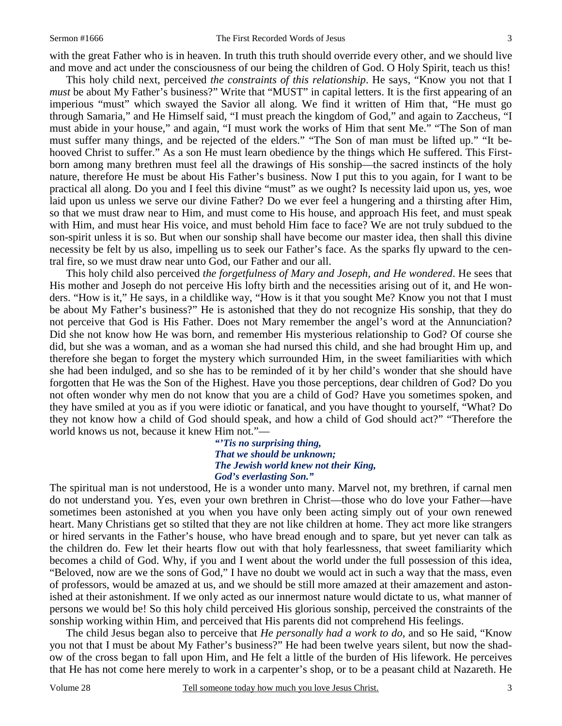with the great Father who is in heaven. In truth this truth should override every other, and we should live and move and act under the consciousness of our being the children of God. O Holy Spirit, teach us this!

 This holy child next, perceived *the constraints of this relationship*. He says, "Know you not that I *must* be about My Father's business?" Write that "MUST" in capital letters. It is the first appearing of an imperious "must" which swayed the Savior all along. We find it written of Him that, "He must go through Samaria," and He Himself said, "I must preach the kingdom of God," and again to Zaccheus, "I must abide in your house," and again, "I must work the works of Him that sent Me." "The Son of man must suffer many things, and be rejected of the elders." "The Son of man must be lifted up." "It behooved Christ to suffer." As a son He must learn obedience by the things which He suffered. This Firstborn among many brethren must feel all the drawings of His sonship—the sacred instincts of the holy nature, therefore He must be about His Father's business. Now I put this to you again, for I want to be practical all along. Do you and I feel this divine "must" as we ought? Is necessity laid upon us, yes, woe laid upon us unless we serve our divine Father? Do we ever feel a hungering and a thirsting after Him, so that we must draw near to Him, and must come to His house, and approach His feet, and must speak with Him, and must hear His voice, and must behold Him face to face? We are not truly subdued to the son-spirit unless it is so. But when our sonship shall have become our master idea, then shall this divine necessity be felt by us also, impelling us to seek our Father's face. As the sparks fly upward to the central fire, so we must draw near unto God, our Father and our all.

 This holy child also perceived *the forgetfulness of Mary and Joseph, and He wondered*. He sees that His mother and Joseph do not perceive His lofty birth and the necessities arising out of it, and He wonders. "How is it," He says, in a childlike way, "How is it that you sought Me? Know you not that I must be about My Father's business?" He is astonished that they do not recognize His sonship, that they do not perceive that God is His Father. Does not Mary remember the angel's word at the Annunciation? Did she not know how He was born, and remember His mysterious relationship to God? Of course she did, but she was a woman, and as a woman she had nursed this child, and she had brought Him up, and therefore she began to forget the mystery which surrounded Him, in the sweet familiarities with which she had been indulged, and so she has to be reminded of it by her child's wonder that she should have forgotten that He was the Son of the Highest. Have you those perceptions, dear children of God? Do you not often wonder why men do not know that you are a child of God? Have you sometimes spoken, and they have smiled at you as if you were idiotic or fanatical, and you have thought to yourself, "What? Do they not know how a child of God should speak, and how a child of God should act?" "Therefore the world knows us not, because it knew Him not."—

> *"'Tis no surprising thing, That we should be unknown; The Jewish world knew not their King, God's everlasting Son."*

The spiritual man is not understood, He is a wonder unto many. Marvel not, my brethren, if carnal men do not understand you. Yes, even your own brethren in Christ—those who do love your Father—have sometimes been astonished at you when you have only been acting simply out of your own renewed heart. Many Christians get so stilted that they are not like children at home. They act more like strangers or hired servants in the Father's house, who have bread enough and to spare, but yet never can talk as the children do. Few let their hearts flow out with that holy fearlessness, that sweet familiarity which becomes a child of God. Why, if you and I went about the world under the full possession of this idea, "Beloved, now are we the sons of God," I have no doubt we would act in such a way that the mass, even of professors, would be amazed at us, and we should be still more amazed at their amazement and astonished at their astonishment. If we only acted as our innermost nature would dictate to us, what manner of persons we would be! So this holy child perceived His glorious sonship, perceived the constraints of the sonship working within Him, and perceived that His parents did not comprehend His feelings.

 The child Jesus began also to perceive that *He personally had a work to do,* and so He said, "Know you not that I must be about My Father's business?" He had been twelve years silent, but now the shadow of the cross began to fall upon Him, and He felt a little of the burden of His lifework. He perceives that He has not come here merely to work in a carpenter's shop, or to be a peasant child at Nazareth. He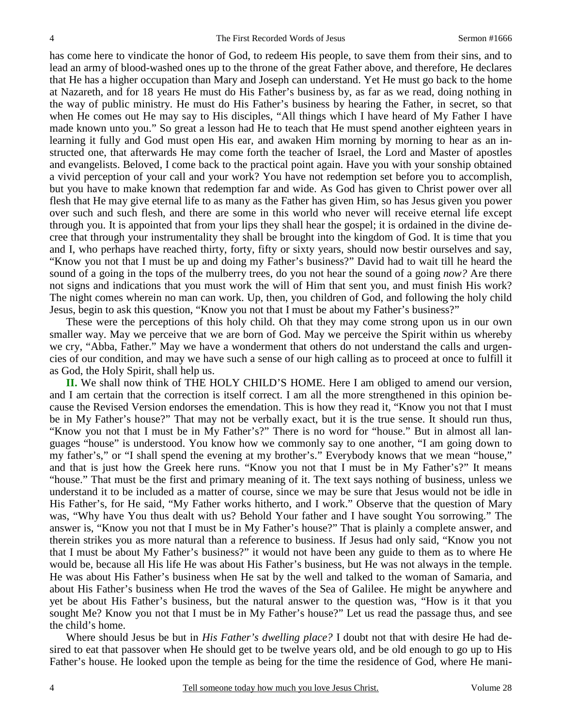has come here to vindicate the honor of God, to redeem His people, to save them from their sins, and to lead an army of blood-washed ones up to the throne of the great Father above, and therefore, He declares that He has a higher occupation than Mary and Joseph can understand. Yet He must go back to the home at Nazareth, and for 18 years He must do His Father's business by, as far as we read, doing nothing in the way of public ministry. He must do His Father's business by hearing the Father, in secret, so that when He comes out He may say to His disciples, "All things which I have heard of My Father I have made known unto you." So great a lesson had He to teach that He must spend another eighteen years in learning it fully and God must open His ear, and awaken Him morning by morning to hear as an instructed one, that afterwards He may come forth the teacher of Israel, the Lord and Master of apostles and evangelists. Beloved, I come back to the practical point again. Have you with your sonship obtained a vivid perception of your call and your work? You have not redemption set before you to accomplish, but you have to make known that redemption far and wide. As God has given to Christ power over all flesh that He may give eternal life to as many as the Father has given Him, so has Jesus given you power over such and such flesh, and there are some in this world who never will receive eternal life except through you. It is appointed that from your lips they shall hear the gospel; it is ordained in the divine decree that through your instrumentality they shall be brought into the kingdom of God. It is time that you and I, who perhaps have reached thirty, forty, fifty or sixty years, should now bestir ourselves and say, "Know you not that I must be up and doing my Father's business?" David had to wait till he heard the sound of a going in the tops of the mulberry trees, do you not hear the sound of a going *now?* Are there not signs and indications that you must work the will of Him that sent you, and must finish His work? The night comes wherein no man can work. Up, then, you children of God, and following the holy child Jesus, begin to ask this question, "Know you not that I must be about my Father's business?"

 These were the perceptions of this holy child. Oh that they may come strong upon us in our own smaller way. May we perceive that we are born of God. May we perceive the Spirit within us whereby we cry, "Abba, Father." May we have a wonderment that others do not understand the calls and urgencies of our condition, and may we have such a sense of our high calling as to proceed at once to fulfill it as God, the Holy Spirit, shall help us.

**II.** We shall now think of THE HOLY CHILD'S HOME. Here I am obliged to amend our version, and I am certain that the correction is itself correct. I am all the more strengthened in this opinion because the Revised Version endorses the emendation. This is how they read it, "Know you not that I must be in My Father's house?" That may not be verbally exact, but it is the true sense. It should run thus, "Know you not that I must be in My Father's?" There is no word for "house." But in almost all languages "house" is understood. You know how we commonly say to one another, "I am going down to my father's," or "I shall spend the evening at my brother's." Everybody knows that we mean "house," and that is just how the Greek here runs. "Know you not that I must be in My Father's?" It means "house." That must be the first and primary meaning of it. The text says nothing of business, unless we understand it to be included as a matter of course, since we may be sure that Jesus would not be idle in His Father's, for He said, "My Father works hitherto, and I work." Observe that the question of Mary was, "Why have You thus dealt with us? Behold Your father and I have sought You sorrowing." The answer is, "Know you not that I must be in My Father's house?" That is plainly a complete answer, and therein strikes you as more natural than a reference to business. If Jesus had only said, "Know you not that I must be about My Father's business?" it would not have been any guide to them as to where He would be, because all His life He was about His Father's business, but He was not always in the temple. He was about His Father's business when He sat by the well and talked to the woman of Samaria, and about His Father's business when He trod the waves of the Sea of Galilee. He might be anywhere and yet be about His Father's business, but the natural answer to the question was, "How is it that you sought Me? Know you not that I must be in My Father's house?" Let us read the passage thus, and see the child's home.

 Where should Jesus be but in *His Father's dwelling place?* I doubt not that with desire He had desired to eat that passover when He should get to be twelve years old, and be old enough to go up to His Father's house. He looked upon the temple as being for the time the residence of God, where He mani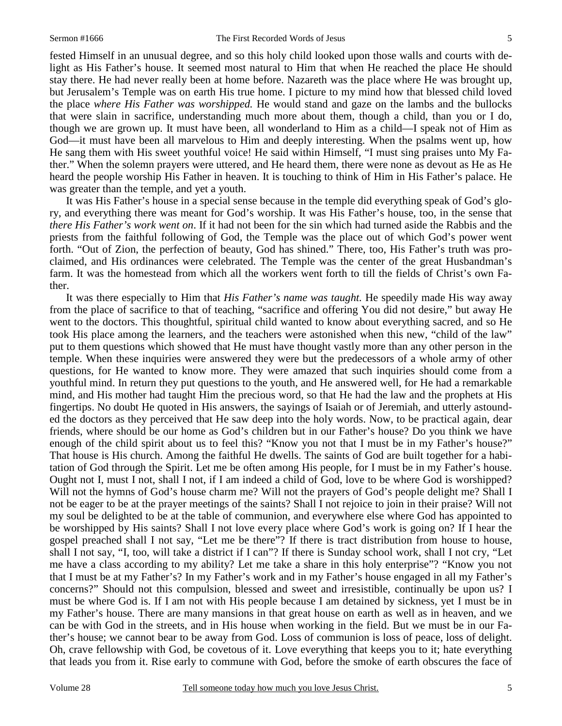fested Himself in an unusual degree, and so this holy child looked upon those walls and courts with delight as His Father's house. It seemed most natural to Him that when He reached the place He should stay there. He had never really been at home before. Nazareth was the place where He was brought up, but Jerusalem's Temple was on earth His true home. I picture to my mind how that blessed child loved the place *where His Father was worshipped.* He would stand and gaze on the lambs and the bullocks that were slain in sacrifice, understanding much more about them, though a child, than you or I do, though we are grown up. It must have been, all wonderland to Him as a child—I speak not of Him as God—it must have been all marvelous to Him and deeply interesting. When the psalms went up, how He sang them with His sweet youthful voice! He said within Himself, "I must sing praises unto My Father." When the solemn prayers were uttered, and He heard them, there were none as devout as He as He heard the people worship His Father in heaven. It is touching to think of Him in His Father's palace. He was greater than the temple, and yet a youth.

 It was His Father's house in a special sense because in the temple did everything speak of God's glory, and everything there was meant for God's worship. It was His Father's house, too, in the sense that *there His Father's work went on*. If it had not been for the sin which had turned aside the Rabbis and the priests from the faithful following of God, the Temple was the place out of which God's power went forth. "Out of Zion, the perfection of beauty, God has shined." There, too, His Father's truth was proclaimed, and His ordinances were celebrated. The Temple was the center of the great Husbandman's farm. It was the homestead from which all the workers went forth to till the fields of Christ's own Father.

 It was there especially to Him that *His Father's name was taught.* He speedily made His way away from the place of sacrifice to that of teaching, "sacrifice and offering You did not desire," but away He went to the doctors. This thoughtful, spiritual child wanted to know about everything sacred, and so He took His place among the learners, and the teachers were astonished when this new, "child of the law" put to them questions which showed that He must have thought vastly more than any other person in the temple. When these inquiries were answered they were but the predecessors of a whole army of other questions, for He wanted to know more. They were amazed that such inquiries should come from a youthful mind. In return they put questions to the youth, and He answered well, for He had a remarkable mind, and His mother had taught Him the precious word, so that He had the law and the prophets at His fingertips. No doubt He quoted in His answers, the sayings of Isaiah or of Jeremiah, and utterly astounded the doctors as they perceived that He saw deep into the holy words. Now, to be practical again, dear friends, where should be our home as God's children but in our Father's house? Do you think we have enough of the child spirit about us to feel this? "Know you not that I must be in my Father's house?" That house is His church. Among the faithful He dwells. The saints of God are built together for a habitation of God through the Spirit. Let me be often among His people, for I must be in my Father's house. Ought not I, must I not, shall I not, if I am indeed a child of God, love to be where God is worshipped? Will not the hymns of God's house charm me? Will not the prayers of God's people delight me? Shall I not be eager to be at the prayer meetings of the saints? Shall I not rejoice to join in their praise? Will not my soul be delighted to be at the table of communion, and everywhere else where God has appointed to be worshipped by His saints? Shall I not love every place where God's work is going on? If I hear the gospel preached shall I not say, "Let me be there"? If there is tract distribution from house to house, shall I not say, "I, too, will take a district if I can"? If there is Sunday school work, shall I not cry, "Let me have a class according to my ability? Let me take a share in this holy enterprise"? "Know you not that I must be at my Father's? In my Father's work and in my Father's house engaged in all my Father's concerns?" Should not this compulsion, blessed and sweet and irresistible, continually be upon us? I must be where God is. If I am not with His people because I am detained by sickness, yet I must be in my Father's house. There are many mansions in that great house on earth as well as in heaven, and we can be with God in the streets, and in His house when working in the field. But we must be in our Father's house; we cannot bear to be away from God. Loss of communion is loss of peace, loss of delight. Oh, crave fellowship with God, be covetous of it. Love everything that keeps you to it; hate everything that leads you from it. Rise early to commune with God, before the smoke of earth obscures the face of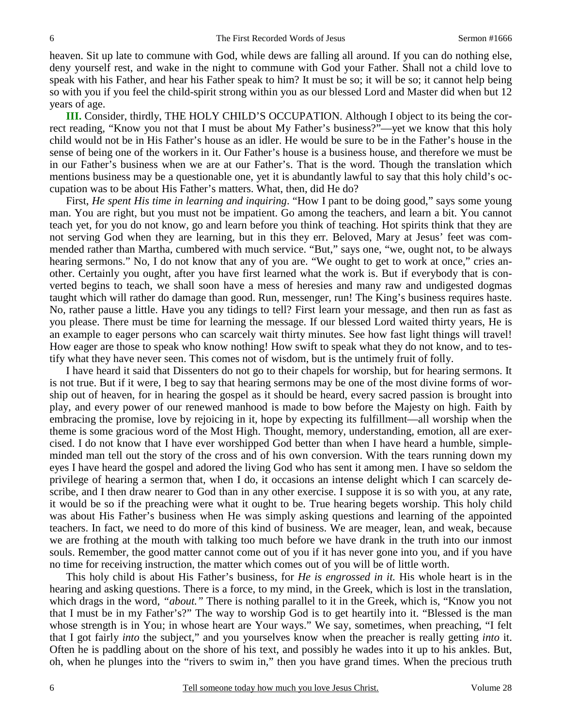heaven. Sit up late to commune with God, while dews are falling all around. If you can do nothing else, deny yourself rest, and wake in the night to commune with God your Father. Shall not a child love to speak with his Father, and hear his Father speak to him? It must be so; it will be so; it cannot help being so with you if you feel the child-spirit strong within you as our blessed Lord and Master did when but 12 years of age.

**III.** Consider, thirdly, THE HOLY CHILD'S OCCUPATION. Although I object to its being the correct reading, "Know you not that I must be about My Father's business?"—yet we know that this holy child would not be in His Father's house as an idler. He would be sure to be in the Father's house in the sense of being one of the workers in it. Our Father's house is a business house, and therefore we must be in our Father's business when we are at our Father's. That is the word. Though the translation which mentions business may be a questionable one, yet it is abundantly lawful to say that this holy child's occupation was to be about His Father's matters. What, then, did He do?

 First, *He spent His time in learning and inquiring*. "How I pant to be doing good," says some young man. You are right, but you must not be impatient. Go among the teachers, and learn a bit. You cannot teach yet, for you do not know, go and learn before you think of teaching. Hot spirits think that they are not serving God when they are learning, but in this they err. Beloved, Mary at Jesus' feet was commended rather than Martha, cumbered with much service. "But," says one, "we, ought not, to be always hearing sermons." No, I do not know that any of you are. "We ought to get to work at once," cries another. Certainly you ought, after you have first learned what the work is. But if everybody that is converted begins to teach, we shall soon have a mess of heresies and many raw and undigested dogmas taught which will rather do damage than good. Run, messenger, run! The King's business requires haste. No, rather pause a little. Have you any tidings to tell? First learn your message, and then run as fast as you please. There must be time for learning the message. If our blessed Lord waited thirty years, He is an example to eager persons who can scarcely wait thirty minutes. See how fast light things will travel! How eager are those to speak who know nothing! How swift to speak what they do not know, and to testify what they have never seen. This comes not of wisdom, but is the untimely fruit of folly.

 I have heard it said that Dissenters do not go to their chapels for worship, but for hearing sermons. It is not true. But if it were, I beg to say that hearing sermons may be one of the most divine forms of worship out of heaven, for in hearing the gospel as it should be heard, every sacred passion is brought into play, and every power of our renewed manhood is made to bow before the Majesty on high. Faith by embracing the promise, love by rejoicing in it, hope by expecting its fulfillment—all worship when the theme is some gracious word of the Most High. Thought, memory, understanding, emotion, all are exercised. I do not know that I have ever worshipped God better than when I have heard a humble, simpleminded man tell out the story of the cross and of his own conversion. With the tears running down my eyes I have heard the gospel and adored the living God who has sent it among men. I have so seldom the privilege of hearing a sermon that, when I do, it occasions an intense delight which I can scarcely describe, and I then draw nearer to God than in any other exercise. I suppose it is so with you, at any rate, it would be so if the preaching were what it ought to be. True hearing begets worship. This holy child was about His Father's business when He was simply asking questions and learning of the appointed teachers. In fact, we need to do more of this kind of business. We are meager, lean, and weak, because we are frothing at the mouth with talking too much before we have drank in the truth into our inmost souls. Remember, the good matter cannot come out of you if it has never gone into you, and if you have no time for receiving instruction, the matter which comes out of you will be of little worth.

 This holy child is about His Father's business, for *He is engrossed in it.* His whole heart is in the hearing and asking questions. There is a force, to my mind, in the Greek, which is lost in the translation, which drags in the word, "*about.*" There is nothing parallel to it in the Greek, which is, "Know you not that I must be in my Father's?" The way to worship God is to get heartily into it. "Blessed is the man whose strength is in You; in whose heart are Your ways." We say, sometimes, when preaching, "I felt that I got fairly *into* the subject," and you yourselves know when the preacher is really getting *into* it. Often he is paddling about on the shore of his text, and possibly he wades into it up to his ankles. But, oh, when he plunges into the "rivers to swim in," then you have grand times. When the precious truth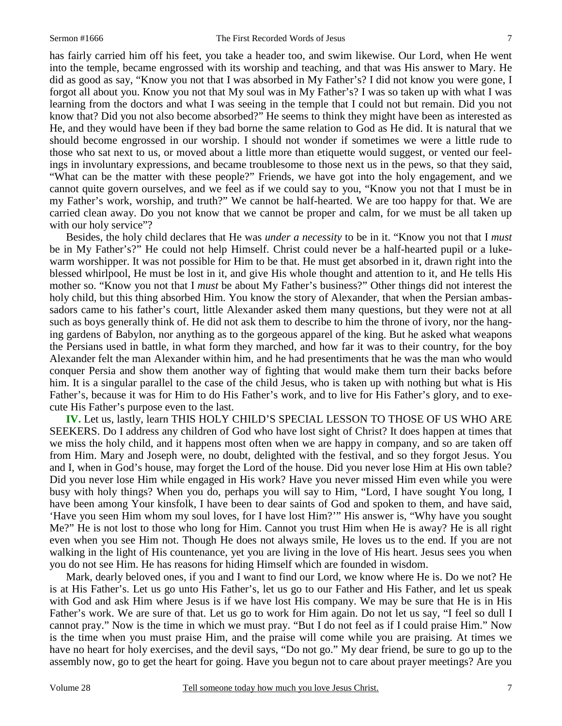has fairly carried him off his feet, you take a header too, and swim likewise. Our Lord, when He went into the temple, became engrossed with its worship and teaching, and that was His answer to Mary. He did as good as say, "Know you not that I was absorbed in My Father's? I did not know you were gone, I forgot all about you. Know you not that My soul was in My Father's? I was so taken up with what I was learning from the doctors and what I was seeing in the temple that I could not but remain. Did you not know that? Did you not also become absorbed?" He seems to think they might have been as interested as He, and they would have been if they bad borne the same relation to God as He did. It is natural that we should become engrossed in our worship. I should not wonder if sometimes we were a little rude to those who sat next to us, or moved about a little more than etiquette would suggest, or vented our feelings in involuntary expressions, and became troublesome to those next us in the pews, so that they said, "What can be the matter with these people?" Friends, we have got into the holy engagement, and we cannot quite govern ourselves, and we feel as if we could say to you, "Know you not that I must be in my Father's work, worship, and truth?" We cannot be half-hearted. We are too happy for that. We are carried clean away. Do you not know that we cannot be proper and calm, for we must be all taken up with our holy service"?

 Besides, the holy child declares that He was *under a necessity* to be in it. "Know you not that I *must* be in My Father's?" He could not help Himself. Christ could never be a half-hearted pupil or a lukewarm worshipper. It was not possible for Him to be that. He must get absorbed in it, drawn right into the blessed whirlpool, He must be lost in it, and give His whole thought and attention to it, and He tells His mother so. "Know you not that I *must* be about My Father's business?" Other things did not interest the holy child, but this thing absorbed Him. You know the story of Alexander, that when the Persian ambassadors came to his father's court, little Alexander asked them many questions, but they were not at all such as boys generally think of. He did not ask them to describe to him the throne of ivory, nor the hanging gardens of Babylon, nor anything as to the gorgeous apparel of the king. But he asked what weapons the Persians used in battle, in what form they marched, and how far it was to their country, for the boy Alexander felt the man Alexander within him, and he had presentiments that he was the man who would conquer Persia and show them another way of fighting that would make them turn their backs before him. It is a singular parallel to the case of the child Jesus, who is taken up with nothing but what is His Father's, because it was for Him to do His Father's work, and to live for His Father's glory, and to execute His Father's purpose even to the last.

**IV.** Let us, lastly, learn THIS HOLY CHILD'S SPECIAL LESSON TO THOSE OF US WHO ARE SEEKERS. Do I address any children of God who have lost sight of Christ? It does happen at times that we miss the holy child, and it happens most often when we are happy in company, and so are taken off from Him. Mary and Joseph were, no doubt, delighted with the festival, and so they forgot Jesus. You and I, when in God's house, may forget the Lord of the house. Did you never lose Him at His own table? Did you never lose Him while engaged in His work? Have you never missed Him even while you were busy with holy things? When you do, perhaps you will say to Him, "Lord, I have sought You long, I have been among Your kinsfolk, I have been to dear saints of God and spoken to them, and have said, 'Have you seen Him whom my soul loves, for I have lost Him?'" His answer is, "Why have you sought Me?" He is not lost to those who long for Him. Cannot you trust Him when He is away? He is all right even when you see Him not. Though He does not always smile, He loves us to the end. If you are not walking in the light of His countenance, yet you are living in the love of His heart. Jesus sees you when you do not see Him. He has reasons for hiding Himself which are founded in wisdom.

 Mark, dearly beloved ones, if you and I want to find our Lord, we know where He is. Do we not? He is at His Father's. Let us go unto His Father's, let us go to our Father and His Father, and let us speak with God and ask Him where Jesus is if we have lost His company. We may be sure that He is in His Father's work. We are sure of that. Let us go to work for Him again. Do not let us say, "I feel so dull I cannot pray." Now is the time in which we must pray. "But I do not feel as if I could praise Him." Now is the time when you must praise Him, and the praise will come while you are praising. At times we have no heart for holy exercises, and the devil says, "Do not go." My dear friend, be sure to go up to the assembly now, go to get the heart for going. Have you begun not to care about prayer meetings? Are you